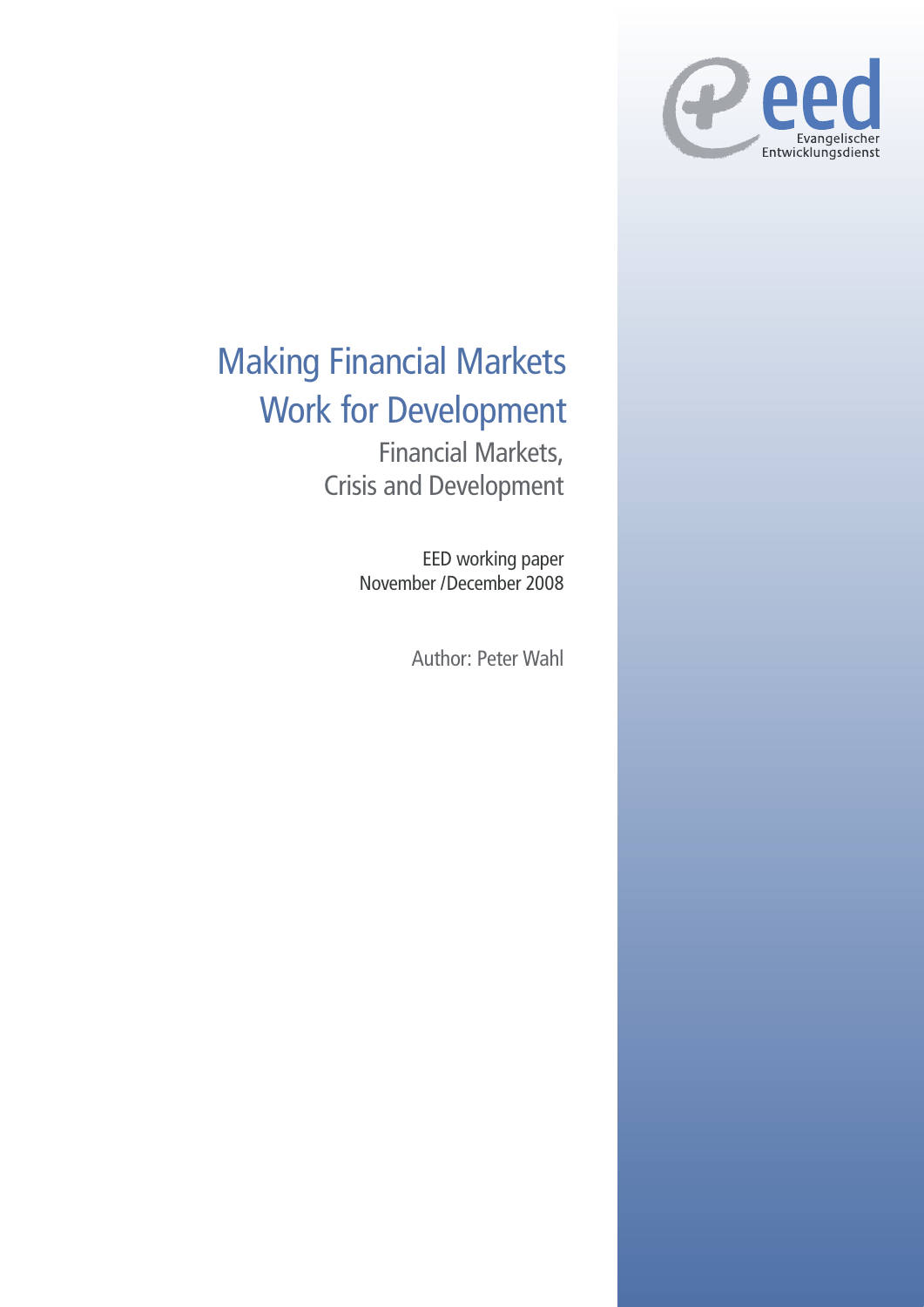

# Making Financial Markets Work for Development

Financial Markets, Crisis and Development

> EED working paper November /December 2008

> > Author: Peter Wahl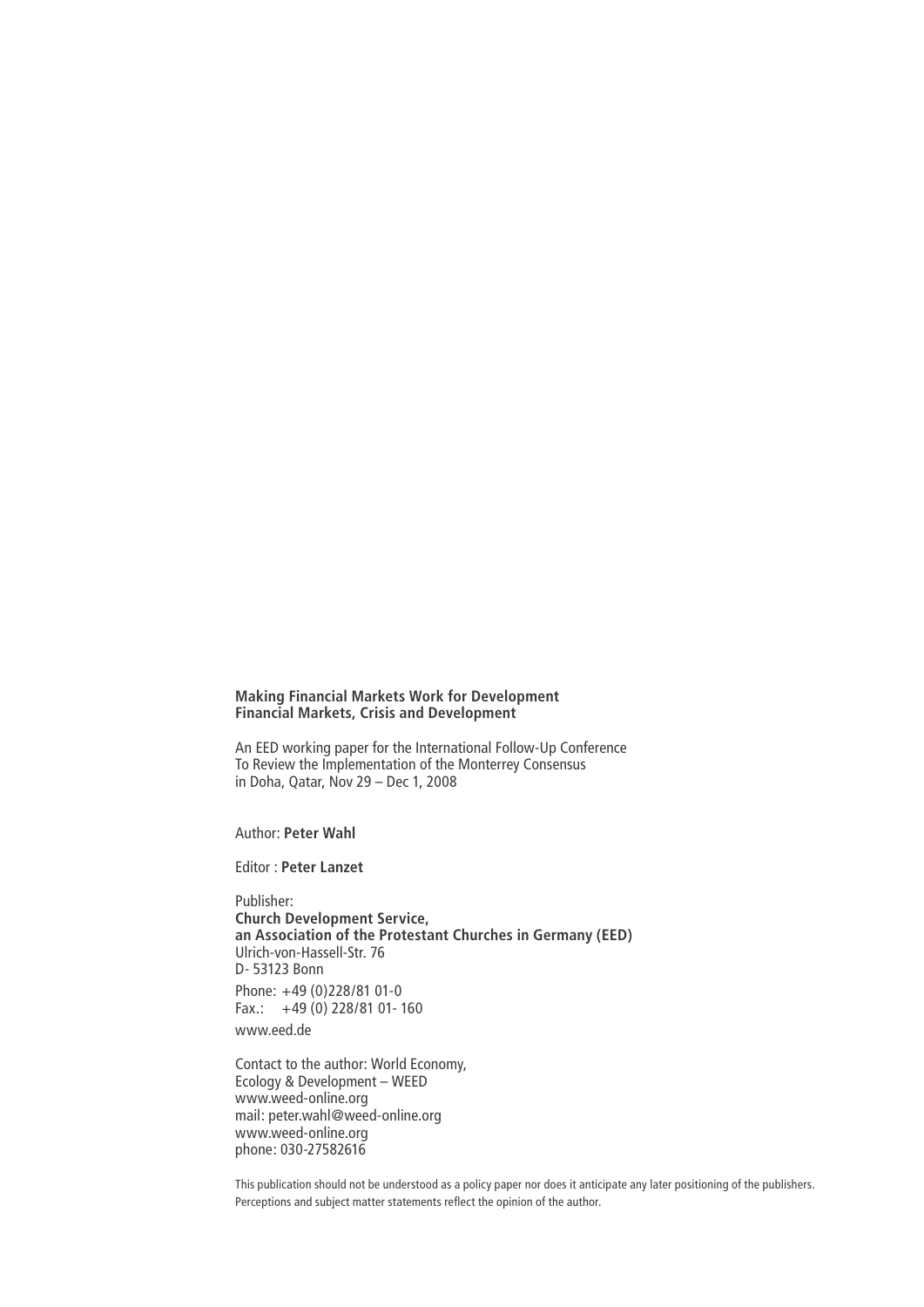#### **Making Financial Markets Work for Development Financial Markets, Crisis and Development**

An EED working paper for the International Follow-Up Conference To Review the Implementation of the Monterrey Consensus in Doha, Qatar, Nov 29 – Dec 1, 2008

Author: **Peter Wahl** 

Editor : **Peter Lanzet**

Publisher: **Church Development Service, an Association of the Protestant Churches in Germany (EED)** Ulrich-von-Hassell-Str. 76 D- 53123 Bonn Phone: +49 (0)228/81 01-0 Fax.:  $+49(0)$  228/81 01-160 www.eed.de

Contact to the author: World Economy, Ecology & Development – WEED www.weed-online.org mail: peter.wahl@weed-online.org www.weed-online.org phone: 030-27582616

This publication should not be understood as a policy paper nor does it anticipate any later positioning of the publishers. Perceptions and subject matter statements reflect the opinion of the author.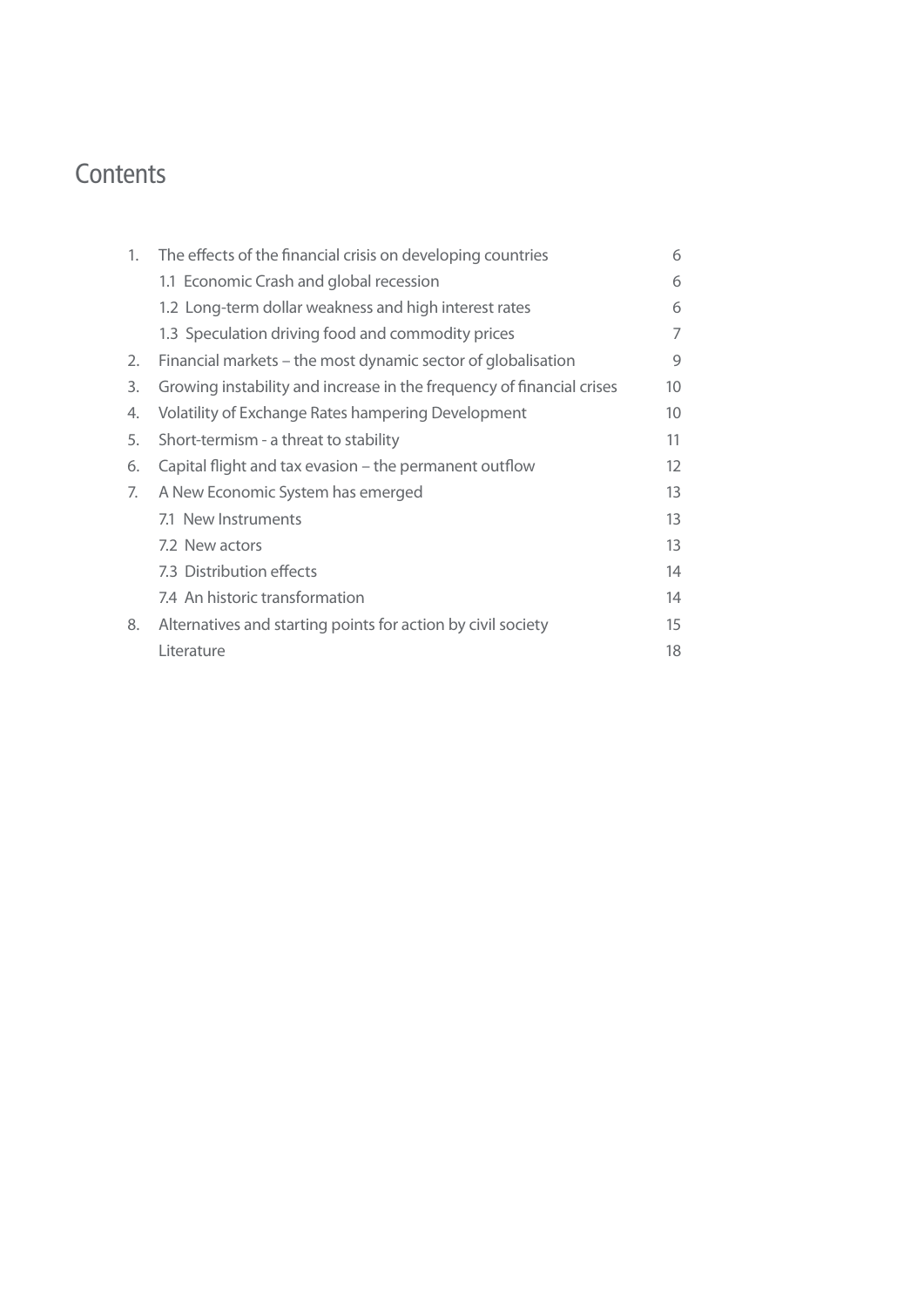# **Contents**

| 1. | The effects of the financial crisis on developing countries           | 6               |
|----|-----------------------------------------------------------------------|-----------------|
|    | 1.1 Economic Crash and global recession                               | 6               |
|    | 1.2 Long-term dollar weakness and high interest rates                 | 6               |
|    | 1.3 Speculation driving food and commodity prices                     | 7               |
| 2. | Financial markets – the most dynamic sector of globalisation          | 9               |
| 3. | Growing instability and increase in the frequency of financial crises | 10 <sup>°</sup> |
| 4. | Volatility of Exchange Rates hampering Development                    | 10              |
| 5. | Short-termism - a threat to stability                                 | 11              |
| 6. | Capital flight and tax evasion - the permanent outflow                | 12              |
| 7. | A New Economic System has emerged                                     | 13              |
|    | 7.1 New Instruments                                                   | 13              |
|    | 7.2 New actors                                                        | 13              |
|    | 7.3 Distribution effects                                              | 14              |
|    | 7.4 An historic transformation                                        | 14              |
| 8. | Alternatives and starting points for action by civil society          | 15              |
|    | Literature                                                            | 18              |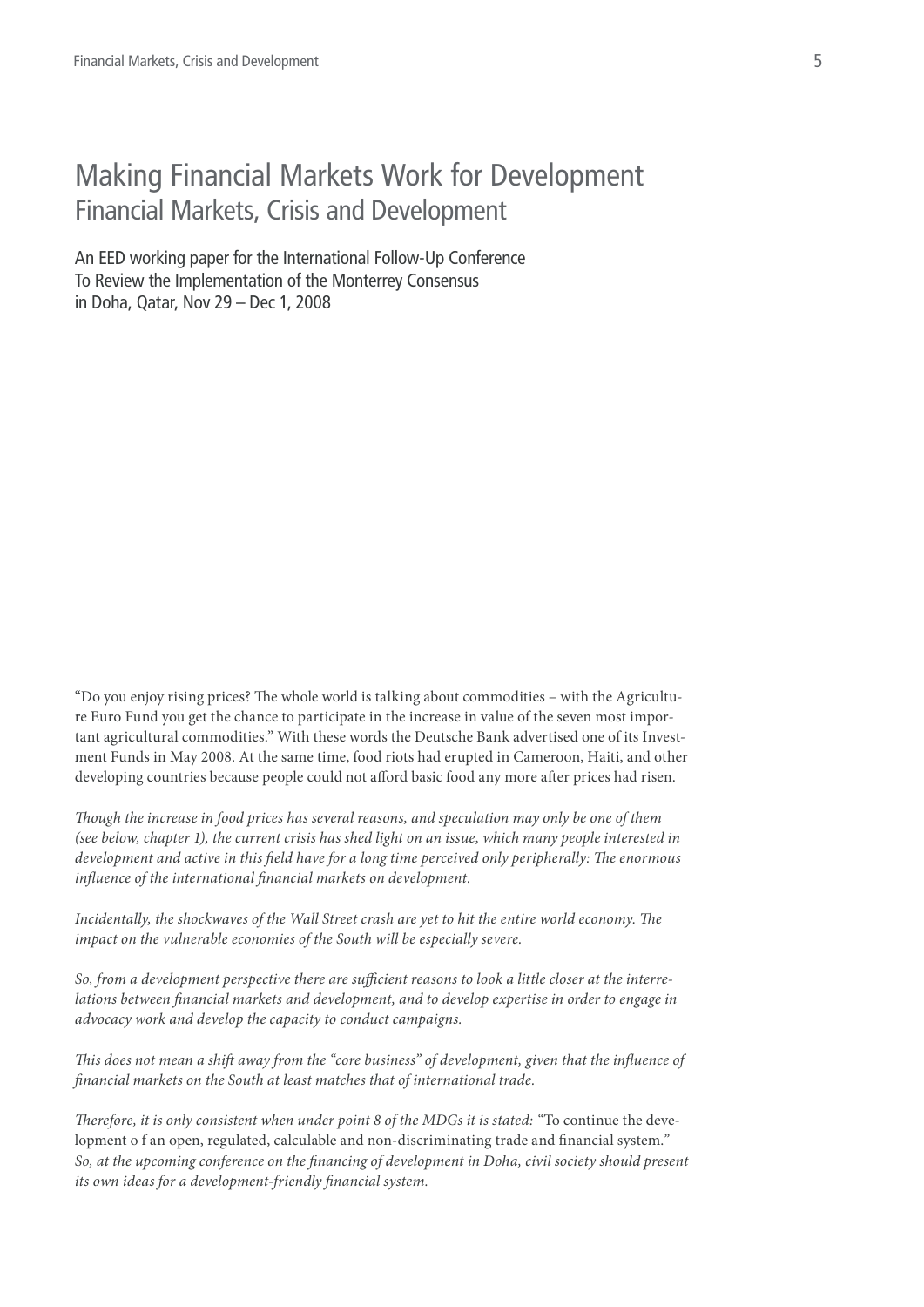### Making Financial Markets Work for Development Financial Markets, Crisis and Development

An EED working paper for the International Follow-Up Conference To Review the Implementation of the Monterrey Consensus in Doha, Qatar, Nov 29 – Dec 1, 2008

"Do you enjoy rising prices? The whole world is talking about commodities – with the Agriculture Euro Fund you get the chance to participate in the increase in value of the seven most important agricultural commodities." With these words the Deutsche Bank advertised one of its Investment Funds in May 2008. At the same time, food riots had erupted in Cameroon, Haiti, and other developing countries because people could not afford basic food any more after prices had risen.

*Though the increase in food prices has several reasons, and speculation may only be one of them (see below, chapter 1), the current crisis has shed light on an issue, which many people interested in development and active in this field have for a long time perceived only peripherally: The enormous influence of the international financial markets on development.*

*Incidentally, the shockwaves of the Wall Street crash are yet to hit the entire world economy. The impact on the vulnerable economies of the South will be especially severe.* 

*So, from a development perspective there are sufficient reasons to look a little closer at the interrelations between financial markets and development, and to develop expertise in order to engage in advocacy work and develop the capacity to conduct campaigns.*

*This does not mean a shift away from the "core business" of development, given that the influence of financial markets on the South at least matches that of international trade.* 

*Therefore, it is only consistent when under point 8 of the MDGs it is stated: "*To continue the development o f an open, regulated, calculable and non-discriminating trade and financial system.*" So, at the upcoming conference on the financing of development in Doha, civil society should present its own ideas for a development-friendly financial system.*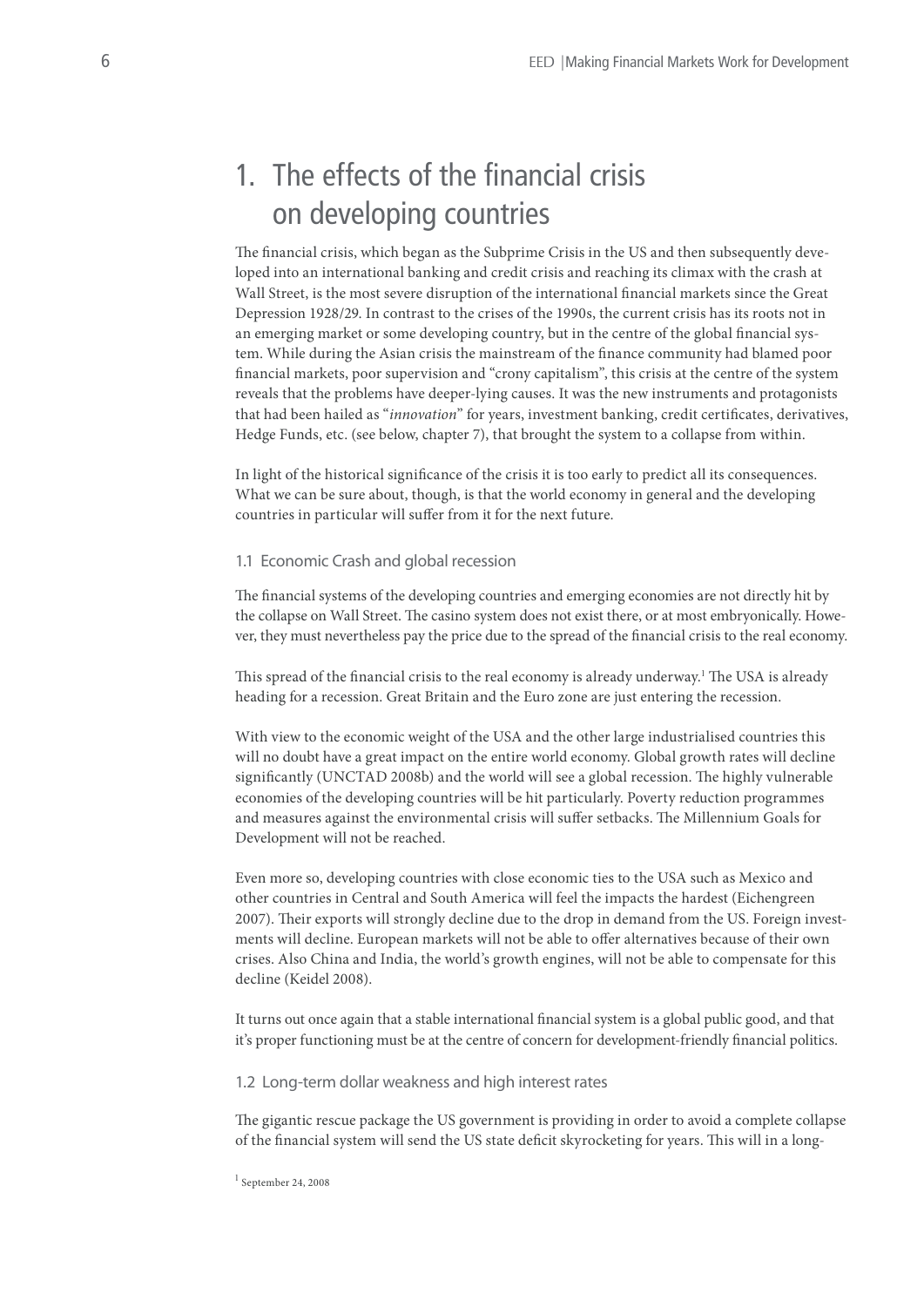# <span id="page-4-0"></span>1. The effects of the financial crisis on developing countries

The financial crisis, which began as the Subprime Crisis in the US and then subsequently developed into an international banking and credit crisis and reaching its climax with the crash at Wall Street, is the most severe disruption of the international financial markets since the Great Depression 1928/29. In contrast to the crises of the 1990s, the current crisis has its roots not in an emerging market or some developing country, but in the centre of the global financial system. While during the Asian crisis the mainstream of the finance community had blamed poor financial markets, poor supervision and "crony capitalism", this crisis at the centre of the system reveals that the problems have deeper-lying causes. It was the new instruments and protagonists that had been hailed as "*innovation*" for years, investment banking, credit certificates, derivatives, Hedge Funds, etc. (see below, chapter 7), that brought the system to a collapse from within.

In light of the historical significance of the crisis it is too early to predict all its consequences. What we can be sure about, though, is that the world economy in general and the developing countries in particular will suffer from it for the next future.

#### 1.1 Economic Crash and global recession

The financial systems of the developing countries and emerging economies are not directly hit by the collapse on Wall Street. The casino system does not exist there, or at most embryonically. However, they must nevertheless pay the price due to the spread of the financial crisis to the real economy.

This spread of the financial crisis to the real economy is already underway.<sup>1</sup> The USA is already heading for a recession. Great Britain and the Euro zone are just entering the recession.

With view to the economic weight of the USA and the other large industrialised countries this will no doubt have a great impact on the entire world economy. Global growth rates will decline significantly (UNCTAD 2008b) and the world will see a global recession. The highly vulnerable economies of the developing countries will be hit particularly. Poverty reduction programmes and measures against the environmental crisis will suffer setbacks. The Millennium Goals for Development will not be reached.

Even more so, developing countries with close economic ties to the USA such as Mexico and other countries in Central and South America will feel the impacts the hardest (Eichengreen 2007). Their exports will strongly decline due to the drop in demand from the US. Foreign investments will decline. European markets will not be able to offer alternatives because of their own crises. Also China and India, the world's growth engines, will not be able to compensate for this decline (Keidel 2008).

It turns out once again that a stable international financial system is a global public good, and that it's proper functioning must be at the centre of concern for development-friendly financial politics.

1.2 Long-term dollar weakness and high interest rates

The gigantic rescue package the US government is providing in order to avoid a complete collapse of the financial system will send the US state deficit skyrocketing for years. This will in a long-

1 September 24, 2008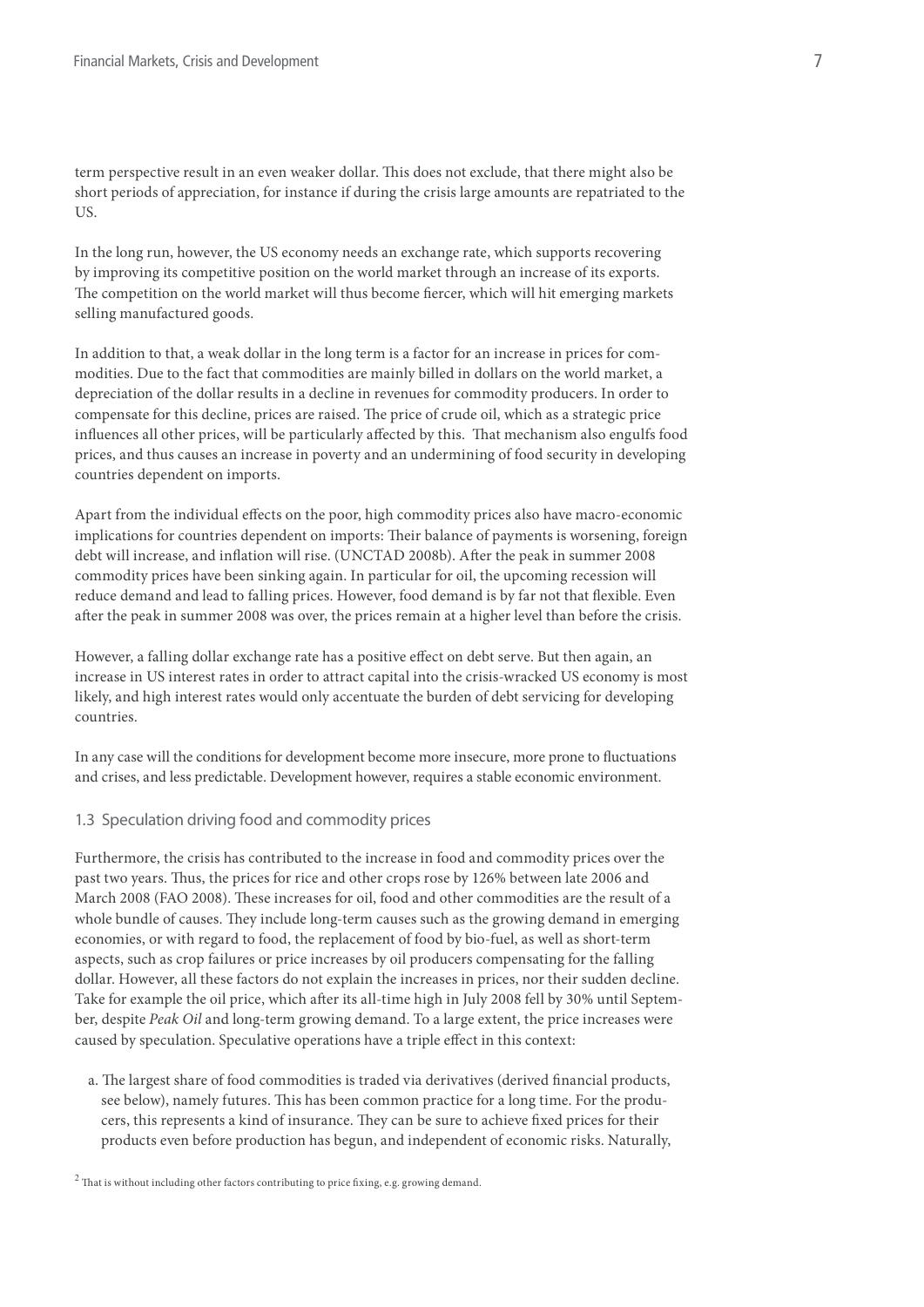<span id="page-5-0"></span>term perspective result in an even weaker dollar. This does not exclude, that there might also be short periods of appreciation, for instance if during the crisis large amounts are repatriated to the US.

In the long run, however, the US economy needs an exchange rate, which supports recovering by improving its competitive position on the world market through an increase of its exports. The competition on the world market will thus become fiercer, which will hit emerging markets selling manufactured goods.

In addition to that, a weak dollar in the long term is a factor for an increase in prices for commodities. Due to the fact that commodities are mainly billed in dollars on the world market, a depreciation of the dollar results in a decline in revenues for commodity producers. In order to compensate for this decline, prices are raised. The price of crude oil, which as a strategic price influences all other prices, will be particularly affected by this. That mechanism also engulfs food prices, and thus causes an increase in poverty and an undermining of food security in developing countries dependent on imports.

Apart from the individual effects on the poor, high commodity prices also have macro-economic implications for countries dependent on imports: Their balance of payments is worsening, foreign debt will increase, and inflation will rise. (UNCTAD 2008b). After the peak in summer 2008 commodity prices have been sinking again. In particular for oil, the upcoming recession will reduce demand and lead to falling prices. However, food demand is by far not that flexible. Even after the peak in summer 2008 was over, the prices remain at a higher level than before the crisis.

However, a falling dollar exchange rate has a positive effect on debt serve. But then again, an increase in US interest rates in order to attract capital into the crisis-wracked US economy is most likely, and high interest rates would only accentuate the burden of debt servicing for developing countries.

In any case will the conditions for development become more insecure, more prone to fluctuations and crises, and less predictable. Development however, requires a stable economic environment.

### 1.3 Speculation driving food and commodity prices

Furthermore, the crisis has contributed to the increase in food and commodity prices over the past two years. Thus, the prices for rice and other crops rose by 126% between late 2006 and March 2008 (FAO 2008). These increases for oil, food and other commodities are the result of a whole bundle of causes. They include long-term causes such as the growing demand in emerging economies, or with regard to food, the replacement of food by bio-fuel, as well as short-term aspects, such as crop failures or price increases by oil producers compensating for the falling dollar. However, all these factors do not explain the increases in prices, nor their sudden decline. Take for example the oil price, which after its all-time high in July 2008 fell by 30% until September, despite *Peak Oil* and long-term growing demand. To a large extent, the price increases were caused by speculation. Speculative operations have a triple effect in this context:

a. The largest share of food commodities is traded via derivatives (derived financial products, see below), namely futures. This has been common practice for a long time. For the producers, this represents a kind of insurance. They can be sure to achieve fixed prices for their products even before production has begun, and independent of economic risks. Naturally,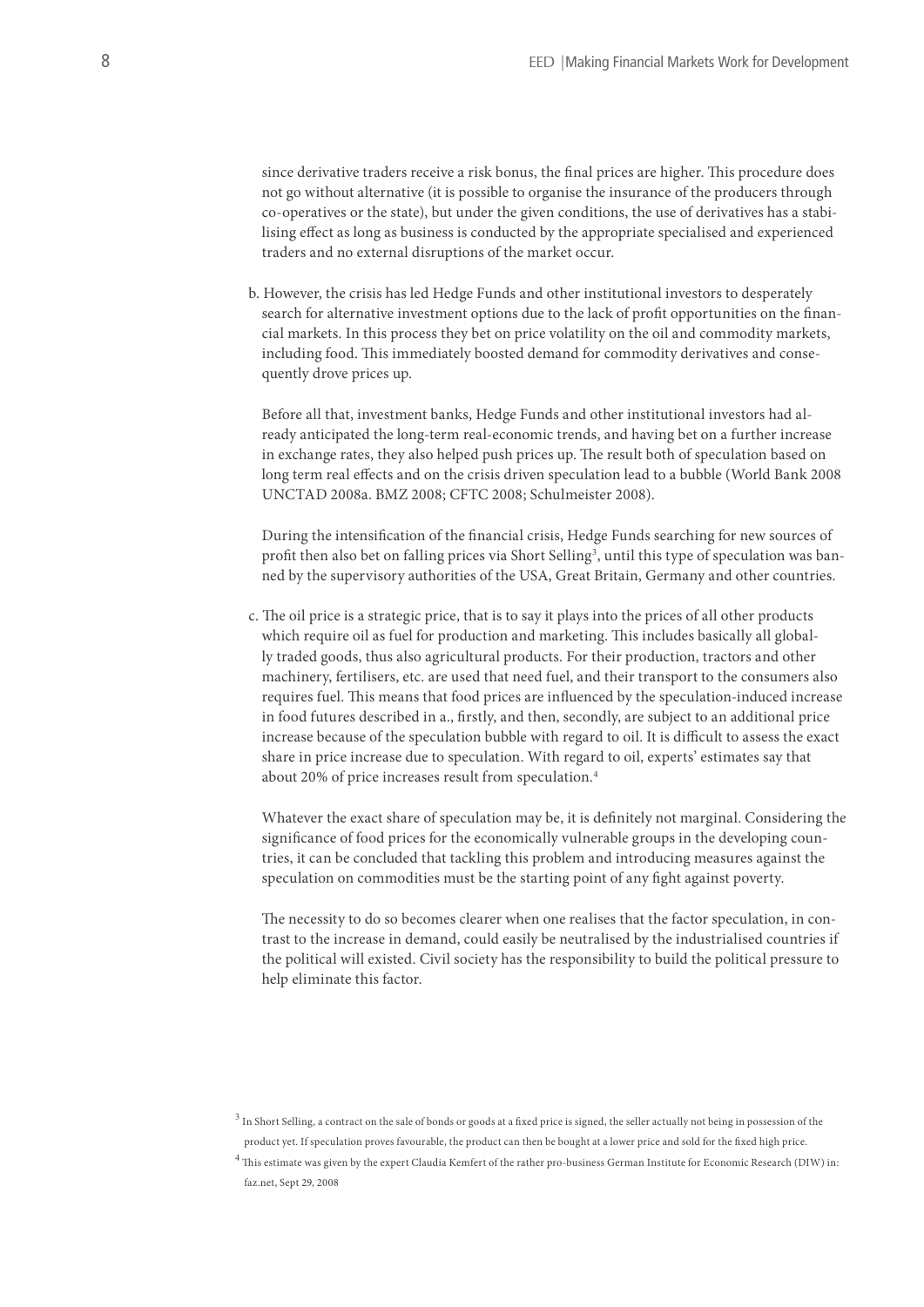since derivative traders receive a risk bonus, the final prices are higher. This procedure does not go without alternative (it is possible to organise the insurance of the producers through co-operatives or the state), but under the given conditions, the use of derivatives has a stabilising effect as long as business is conducted by the appropriate specialised and experienced traders and no external disruptions of the market occur.

b. However, the crisis has led Hedge Funds and other institutional investors to desperately search for alternative investment options due to the lack of profit opportunities on the financial markets. In this process they bet on price volatility on the oil and commodity markets, including food. This immediately boosted demand for commodity derivatives and consequently drove prices up.

Before all that, investment banks, Hedge Funds and other institutional investors had already anticipated the long-term real-economic trends, and having bet on a further increase in exchange rates, they also helped push prices up. The result both of speculation based on long term real effects and on the crisis driven speculation lead to a bubble (World Bank 2008 UNCTAD 2008a. BMZ 2008; CFTC 2008; Schulmeister 2008).

During the intensification of the financial crisis, Hedge Funds searching for new sources of profit then also bet on falling prices via Short Selling<sup>3</sup>, until this type of speculation was banned by the supervisory authorities of the USA, Great Britain, Germany and other countries.

c. The oil price is a strategic price, that is to say it plays into the prices of all other products which require oil as fuel for production and marketing. This includes basically all globally traded goods, thus also agricultural products. For their production, tractors and other machinery, fertilisers, etc. are used that need fuel, and their transport to the consumers also requires fuel. This means that food prices are influenced by the speculation-induced increase in food futures described in a., firstly, and then, secondly, are subject to an additional price increase because of the speculation bubble with regard to oil. It is difficult to assess the exact share in price increase due to speculation. With regard to oil, experts' estimates say that about 20% of price increases result from speculation.<sup>4</sup>

Whatever the exact share of speculation may be, it is definitely not marginal. Considering the significance of food prices for the economically vulnerable groups in the developing countries, it can be concluded that tackling this problem and introducing measures against the speculation on commodities must be the starting point of any fight against poverty.

The necessity to do so becomes clearer when one realises that the factor speculation, in contrast to the increase in demand, could easily be neutralised by the industrialised countries if the political will existed. Civil society has the responsibility to build the political pressure to help eliminate this factor.

 $^3$  In Short Selling, a contract on the sale of bonds or goods at a fixed price is signed, the seller actually not being in possession of the product yet. If speculation proves favourable, the product can then be bought at a lower price and sold for the fixed high price.

<sup>4</sup> This estimate was given by the expert Claudia Kemfert of the rather pro-business German Institute for Economic Research (DIW) in: faz.net, Sept 29, 2008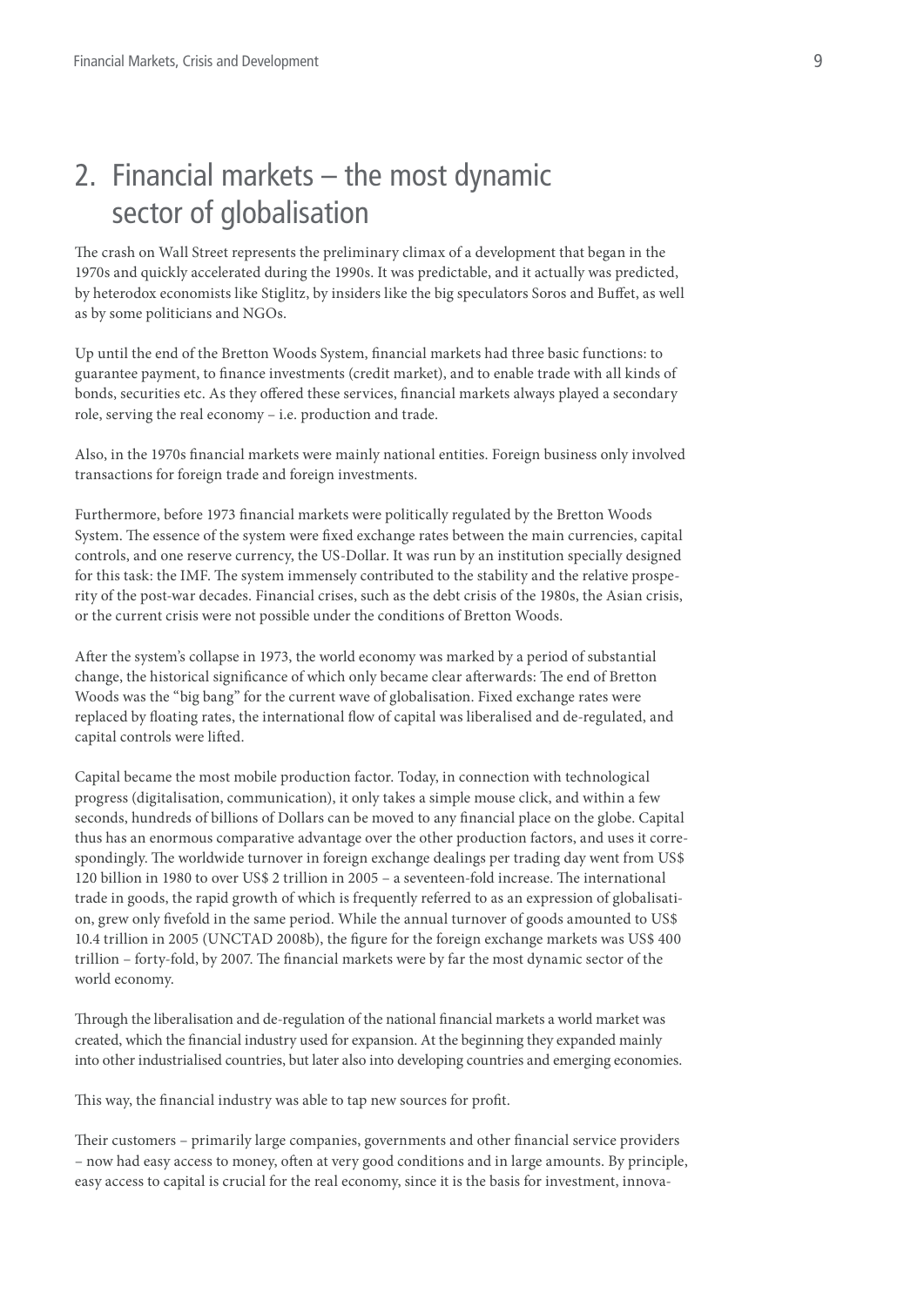# <span id="page-7-0"></span>2. Financial markets – the most dynamic sector of globalisation

The crash on Wall Street represents the preliminary climax of a development that began in the 1970s and quickly accelerated during the 1990s. It was predictable, and it actually was predicted, by heterodox economists like Stiglitz, by insiders like the big speculators Soros and Buffet, as well as by some politicians and NGOs.

Up until the end of the Bretton Woods System, financial markets had three basic functions: to guarantee payment, to finance investments (credit market), and to enable trade with all kinds of bonds, securities etc. As they offered these services, financial markets always played a secondary role, serving the real economy – i.e. production and trade.

Also, in the 1970s financial markets were mainly national entities. Foreign business only involved transactions for foreign trade and foreign investments.

Furthermore, before 1973 financial markets were politically regulated by the Bretton Woods System. The essence of the system were fixed exchange rates between the main currencies, capital controls, and one reserve currency, the US-Dollar. It was run by an institution specially designed for this task: the IMF. The system immensely contributed to the stability and the relative prosperity of the post-war decades. Financial crises, such as the debt crisis of the 1980s, the Asian crisis, or the current crisis were not possible under the conditions of Bretton Woods.

After the system's collapse in 1973, the world economy was marked by a period of substantial change, the historical significance of which only became clear afterwards: The end of Bretton Woods was the "big bang" for the current wave of globalisation. Fixed exchange rates were replaced by floating rates, the international flow of capital was liberalised and de-regulated, and capital controls were lifted.

Capital became the most mobile production factor. Today, in connection with technological progress (digitalisation, communication), it only takes a simple mouse click, and within a few seconds, hundreds of billions of Dollars can be moved to any financial place on the globe. Capital thus has an enormous comparative advantage over the other production factors, and uses it correspondingly. The worldwide turnover in foreign exchange dealings per trading day went from US\$ 120 billion in 1980 to over US\$ 2 trillion in 2005 – a seventeen-fold increase. The international trade in goods, the rapid growth of which is frequently referred to as an expression of globalisation, grew only fivefold in the same period. While the annual turnover of goods amounted to US\$ 10.4 trillion in 2005 (UNCTAD 2008b), the figure for the foreign exchange markets was US\$ 400 trillion – forty-fold, by 2007. The financial markets were by far the most dynamic sector of the world economy.

Through the liberalisation and de-regulation of the national financial markets a world market was created, which the financial industry used for expansion. At the beginning they expanded mainly into other industrialised countries, but later also into developing countries and emerging economies.

This way, the financial industry was able to tap new sources for profit.

Their customers – primarily large companies, governments and other financial service providers – now had easy access to money, often at very good conditions and in large amounts. By principle, easy access to capital is crucial for the real economy, since it is the basis for investment, innova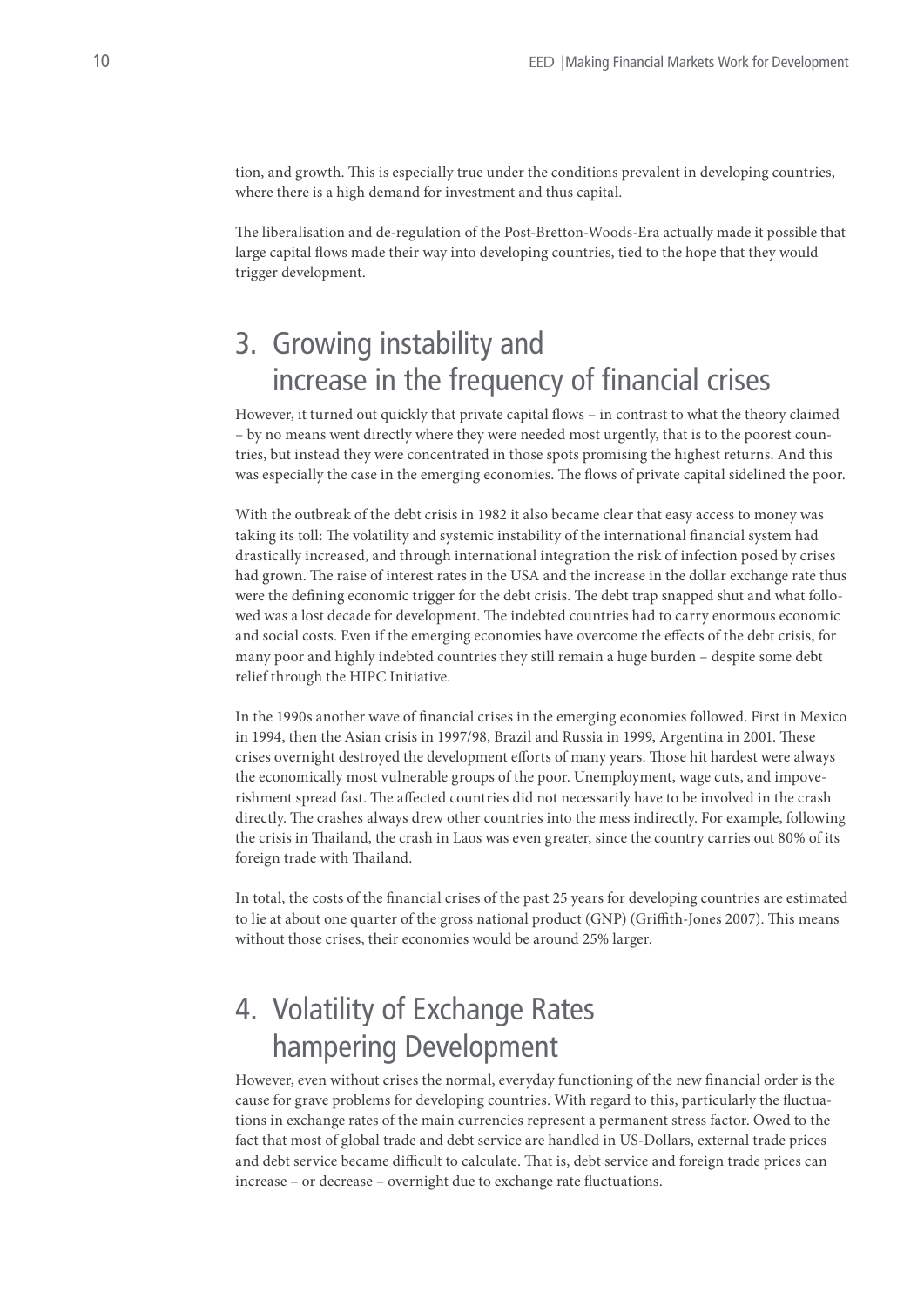<span id="page-8-0"></span>tion, and growth. This is especially true under the conditions prevalent in developing countries, where there is a high demand for investment and thus capital.

The liberalisation and de-regulation of the Post-Bretton-Woods-Era actually made it possible that large capital flows made their way into developing countries, tied to the hope that they would trigger development.

# 3. Growing instability and increase in the frequency of financial crises

However, it turned out quickly that private capital flows – in contrast to what the theory claimed – by no means went directly where they were needed most urgently, that is to the poorest countries, but instead they were concentrated in those spots promising the highest returns. And this was especially the case in the emerging economies. The flows of private capital sidelined the poor.

With the outbreak of the debt crisis in 1982 it also became clear that easy access to money was taking its toll: The volatility and systemic instability of the international financial system had drastically increased, and through international integration the risk of infection posed by crises had grown. The raise of interest rates in the USA and the increase in the dollar exchange rate thus were the defining economic trigger for the debt crisis. The debt trap snapped shut and what followed was a lost decade for development. The indebted countries had to carry enormous economic and social costs. Even if the emerging economies have overcome the effects of the debt crisis, for many poor and highly indebted countries they still remain a huge burden – despite some debt relief through the HIPC Initiative.

In the 1990s another wave of financial crises in the emerging economies followed. First in Mexico in 1994, then the Asian crisis in 1997/98, Brazil and Russia in 1999, Argentina in 2001. These crises overnight destroyed the development efforts of many years. Those hit hardest were always the economically most vulnerable groups of the poor. Unemployment, wage cuts, and impoverishment spread fast. The affected countries did not necessarily have to be involved in the crash directly. The crashes always drew other countries into the mess indirectly. For example, following the crisis in Thailand, the crash in Laos was even greater, since the country carries out 80% of its foreign trade with Thailand.

In total, the costs of the financial crises of the past 25 years for developing countries are estimated to lie at about one quarter of the gross national product (GNP) (Griffith-Jones 2007). This means without those crises, their economies would be around 25% larger.

# 4. Volatility of Exchange Rates hampering Development

However, even without crises the normal, everyday functioning of the new financial order is the cause for grave problems for developing countries. With regard to this, particularly the fluctuations in exchange rates of the main currencies represent a permanent stress factor. Owed to the fact that most of global trade and debt service are handled in US-Dollars, external trade prices and debt service became difficult to calculate. That is, debt service and foreign trade prices can increase – or decrease – overnight due to exchange rate fluctuations.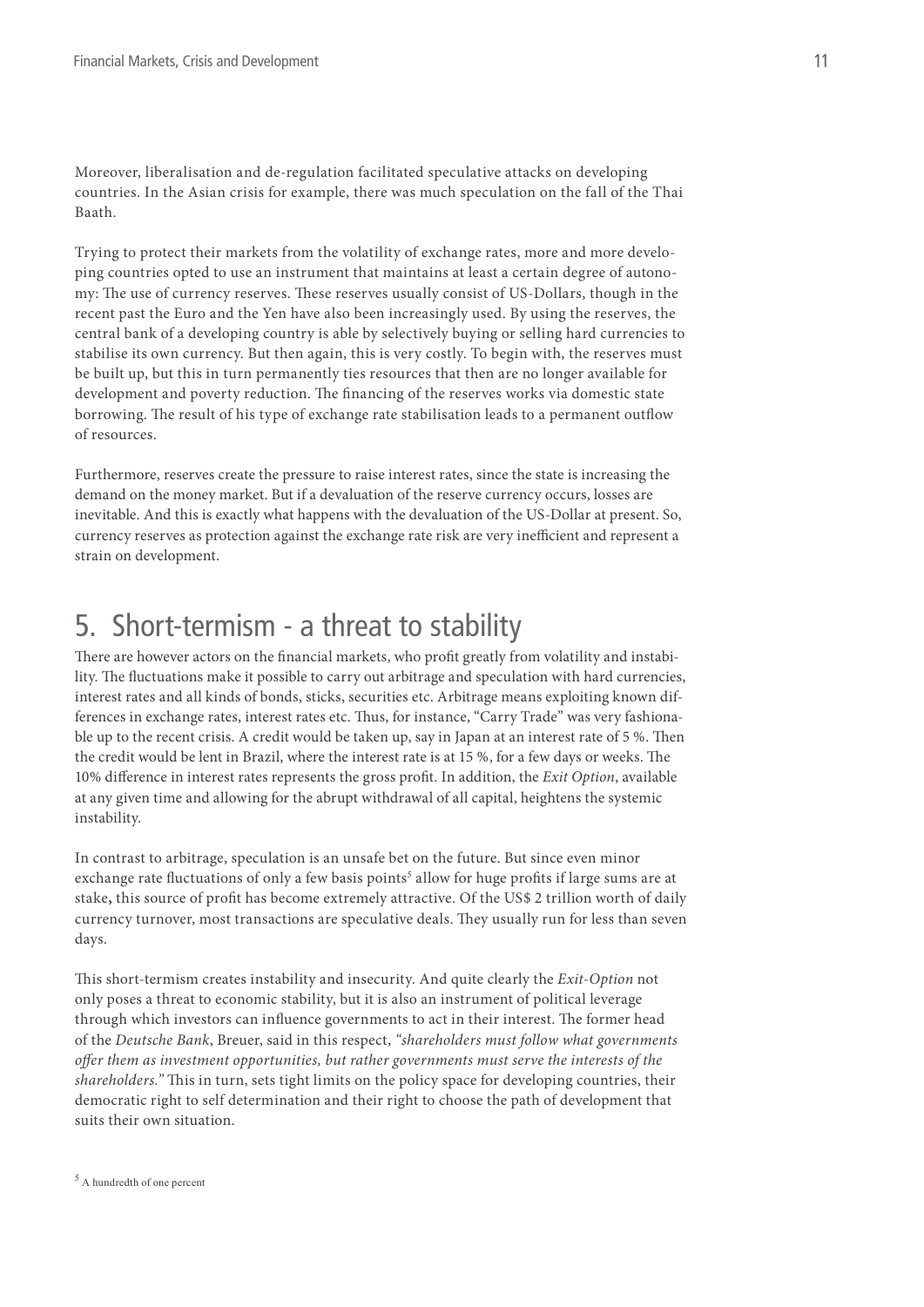<span id="page-9-0"></span>Moreover, liberalisation and de-regulation facilitated speculative attacks on developing countries. In the Asian crisis for example, there was much speculation on the fall of the Thai Baath.

Trying to protect their markets from the volatility of exchange rates, more and more developing countries opted to use an instrument that maintains at least a certain degree of autonomy: The use of currency reserves. These reserves usually consist of US-Dollars, though in the recent past the Euro and the Yen have also been increasingly used. By using the reserves, the central bank of a developing country is able by selectively buying or selling hard currencies to stabilise its own currency. But then again, this is very costly. To begin with, the reserves must be built up, but this in turn permanently ties resources that then are no longer available for development and poverty reduction. The financing of the reserves works via domestic state borrowing. The result of his type of exchange rate stabilisation leads to a permanent outflow of resources.

Furthermore, reserves create the pressure to raise interest rates, since the state is increasing the demand on the money market. But if a devaluation of the reserve currency occurs, losses are inevitable. And this is exactly what happens with the devaluation of the US-Dollar at present. So, currency reserves as protection against the exchange rate risk are very inefficient and represent a strain on development.

### 5. Short-termism - a threat to stability

There are however actors on the financial markets, who profit greatly from volatility and instability. The fluctuations make it possible to carry out arbitrage and speculation with hard currencies, interest rates and all kinds of bonds, sticks, securities etc. Arbitrage means exploiting known differences in exchange rates, interest rates etc. Thus, for instance, "Carry Trade" was very fashionable up to the recent crisis. A credit would be taken up, say in Japan at an interest rate of 5 %. Then the credit would be lent in Brazil, where the interest rate is at 15 %, for a few days or weeks. The 10% difference in interest rates represents the gross profit. In addition, the *Exit Option*, available at any given time and allowing for the abrupt withdrawal of all capital, heightens the systemic instability.

In contrast to arbitrage, speculation is an unsafe bet on the future. But since even minor exchange rate fluctuations of only a few basis points<sup>5</sup> allow for huge profits if large sums are at stake**,** this source of profit has become extremely attractive. Of the US\$ 2 trillion worth of daily currency turnover, most transactions are speculative deals. They usually run for less than seven days.

This short-termism creates instability and insecurity. And quite clearly the *Exit-Option* not only poses a threat to economic stability, but it is also an instrument of political leverage through which investors can influence governments to act in their interest. The former head of the *Deutsche Bank*, Breuer, said in this respect, *"shareholders must follow what governments offer them as investment opportunities, but rather governments must serve the interests of the shareholders."* This in turn, sets tight limits on the policy space for developing countries, their democratic right to self determination and their right to choose the path of development that suits their own situation.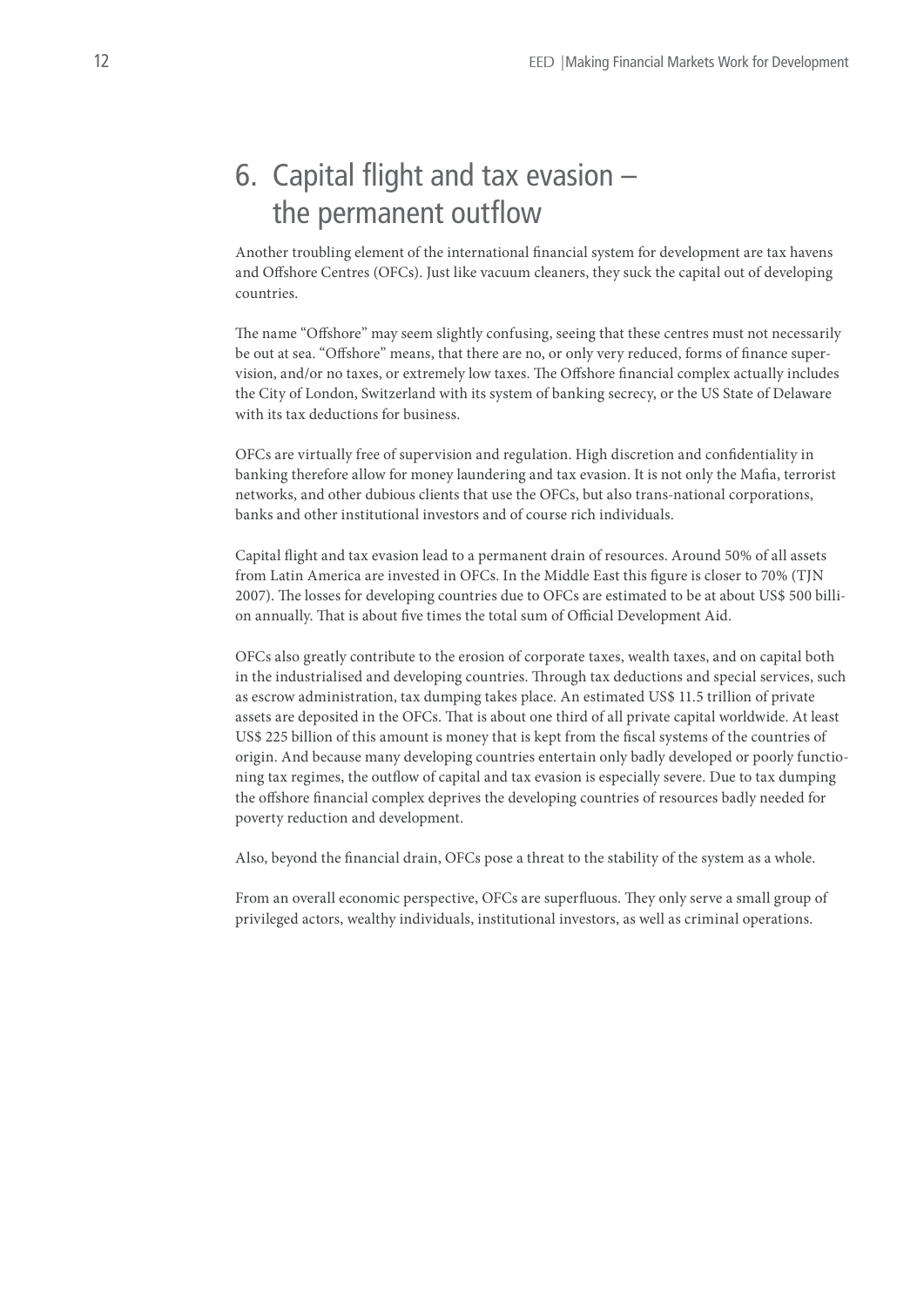# <span id="page-10-0"></span>6. Capital flight and tax evasion – the permanent outflow

Another troubling element of the international financial system for development are tax havens and Offshore Centres (OFCs). Just like vacuum cleaners, they suck the capital out of developing countries.

The name "Offshore" may seem slightly confusing, seeing that these centres must not necessarily be out at sea. "Offshore" means, that there are no, or only very reduced, forms of finance supervision, and/or no taxes, or extremely low taxes. The Offshore financial complex actually includes the City of London, Switzerland with its system of banking secrecy, or the US State of Delaware with its tax deductions for business.

OFCs are virtually free of supervision and regulation. High discretion and confidentiality in banking therefore allow for money laundering and tax evasion. It is not only the Mafia, terrorist networks, and other dubious clients that use the OFCs, but also trans-national corporations, banks and other institutional investors and of course rich individuals.

Capital flight and tax evasion lead to a permanent drain of resources. Around 50% of all assets from Latin America are invested in OFCs. In the Middle East this figure is closer to 70% (TJN 2007). The losses for developing countries due to OFCs are estimated to be at about US\$ 500 billion annually. That is about five times the total sum of Official Development Aid.

OFCs also greatly contribute to the erosion of corporate taxes, wealth taxes, and on capital both in the industrialised and developing countries. Through tax deductions and special services, such as escrow administration, tax dumping takes place. An estimated US\$ 11.5 trillion of private assets are deposited in the OFCs. That is about one third of all private capital worldwide. At least US\$ 225 billion of this amount is money that is kept from the fiscal systems of the countries of origin. And because many developing countries entertain only badly developed or poorly functioning tax regimes, the outflow of capital and tax evasion is especially severe. Due to tax dumping the offshore financial complex deprives the developing countries of resources badly needed for poverty reduction and development.

Also, beyond the financial drain, OFCs pose a threat to the stability of the system as a whole.

From an overall economic perspective, OFCs are superfluous. They only serve a small group of privileged actors, wealthy individuals, institutional investors, as well as criminal operations.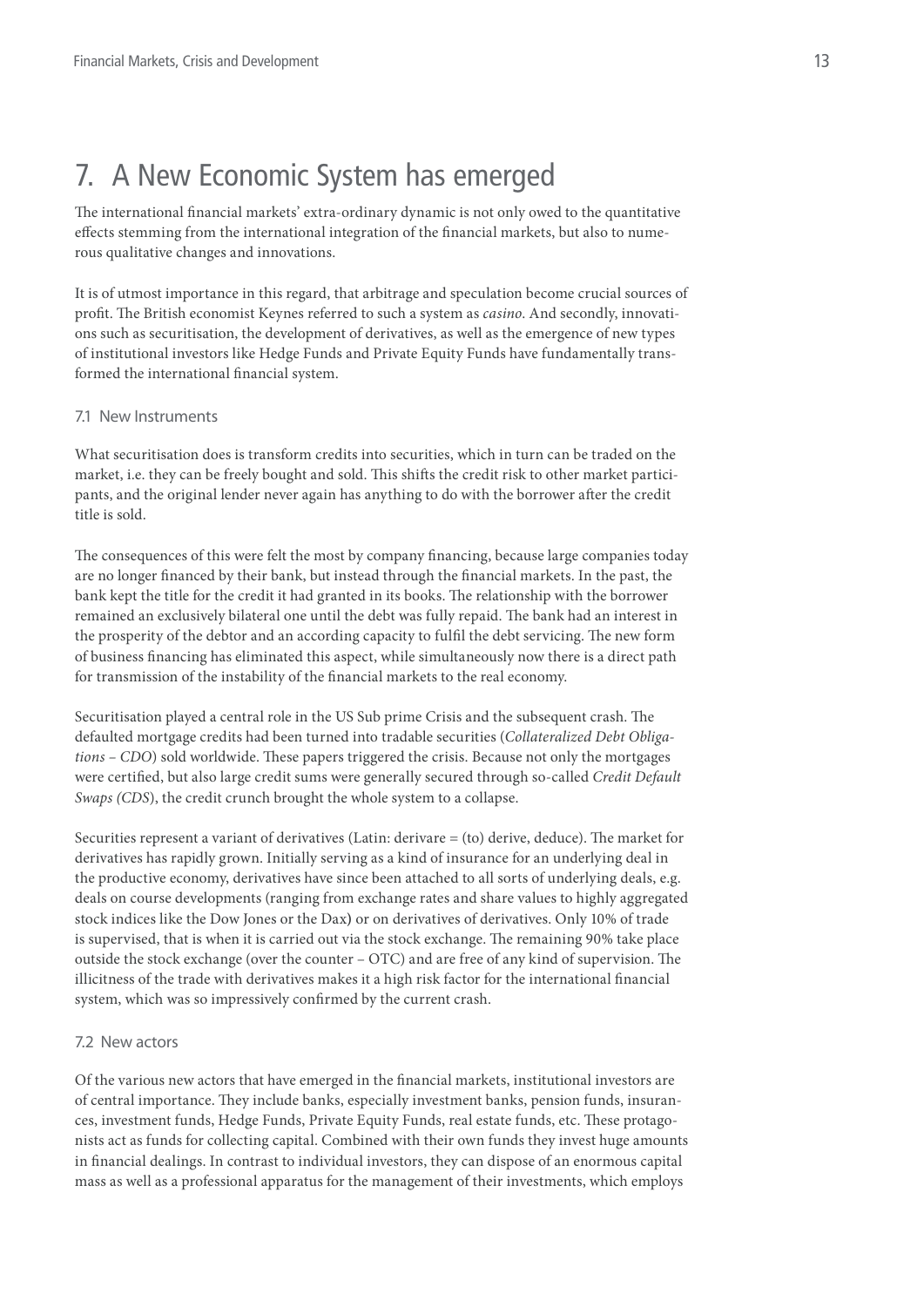### <span id="page-11-0"></span>7. A New Economic System has emerged

The international financial markets' extra-ordinary dynamic is not only owed to the quantitative effects stemming from the international integration of the financial markets, but also to numerous qualitative changes and innovations.

It is of utmost importance in this regard, that arbitrage and speculation become crucial sources of profit. The British economist Keynes referred to such a system as *casino*. And secondly, innovations such as securitisation, the development of derivatives, as well as the emergence of new types of institutional investors like Hedge Funds and Private Equity Funds have fundamentally transformed the international financial system.

### 7.1 New Instruments

What securitisation does is transform credits into securities, which in turn can be traded on the market, i.e. they can be freely bought and sold. This shifts the credit risk to other market participants, and the original lender never again has anything to do with the borrower after the credit title is sold.

The consequences of this were felt the most by company financing, because large companies today are no longer financed by their bank, but instead through the financial markets. In the past, the bank kept the title for the credit it had granted in its books. The relationship with the borrower remained an exclusively bilateral one until the debt was fully repaid. The bank had an interest in the prosperity of the debtor and an according capacity to fulfil the debt servicing. The new form of business financing has eliminated this aspect, while simultaneously now there is a direct path for transmission of the instability of the financial markets to the real economy.

Securitisation played a central role in the US Sub prime Crisis and the subsequent crash. The defaulted mortgage credits had been turned into tradable securities (*Collateralized Debt Obligations – CDO*) sold worldwide. These papers triggered the crisis. Because not only the mortgages were certified, but also large credit sums were generally secured through so-called *Credit Default Swaps (CDS*), the credit crunch brought the whole system to a collapse.

Securities represent a variant of derivatives (Latin: derivare = (to) derive, deduce). The market for derivatives has rapidly grown. Initially serving as a kind of insurance for an underlying deal in the productive economy, derivatives have since been attached to all sorts of underlying deals, e.g. deals on course developments (ranging from exchange rates and share values to highly aggregated stock indices like the Dow Jones or the Dax**)** or on derivatives of derivatives. Only 10% of trade is supervised, that is when it is carried out via the stock exchange. The remaining 90% take place outside the stock exchange (over the counter – OTC) and are free of any kind of supervision. The illicitness of the trade with derivatives makes it a high risk factor for the international financial system, which was so impressively confirmed by the current crash.

#### 7.2 New actors

Of the various new actors that have emerged in the financial markets, institutional investors are of central importance. They include banks, especially investment banks, pension funds, insurances, investment funds, Hedge Funds, Private Equity Funds, real estate funds, etc. These protagonists act as funds for collecting capital. Combined with their own funds they invest huge amounts in financial dealings. In contrast to individual investors, they can dispose of an enormous capital mass as well as a professional apparatus for the management of their investments, which employs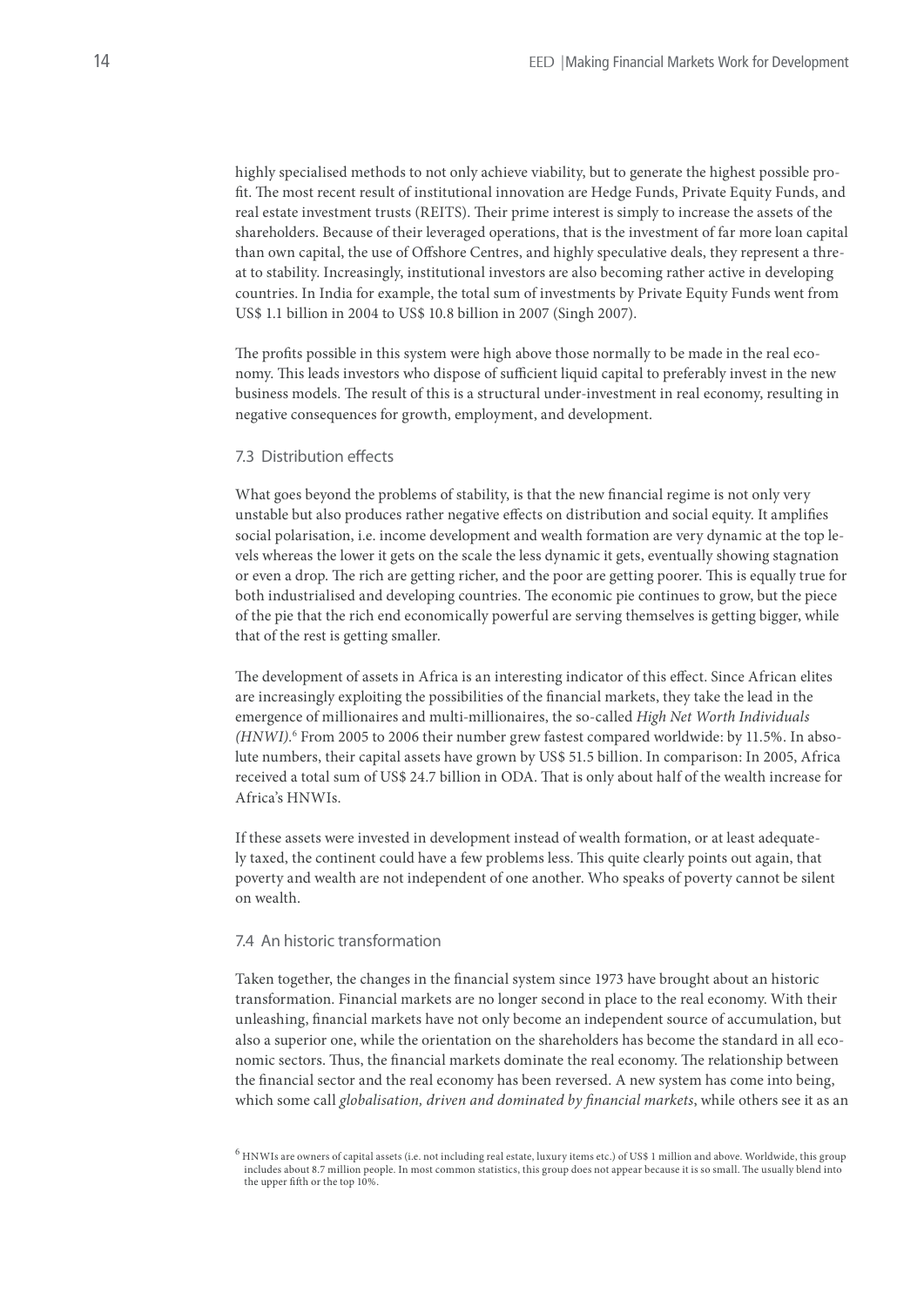<span id="page-12-0"></span>highly specialised methods to not only achieve viability, but to generate the highest possible profit. The most recent result of institutional innovation are Hedge Funds, Private Equity Funds, and real estate investment trusts (REITS). Their prime interest is simply to increase the assets of the shareholders. Because of their leveraged operations, that is the investment of far more loan capital than own capital, the use of Offshore Centres, and highly speculative deals, they represent a threat to stability. Increasingly, institutional investors are also becoming rather active in developing countries. In India for example, the total sum of investments by Private Equity Funds went from US\$ 1.1 billion in 2004 to US\$ 10.8 billion in 2007 (Singh 2007).

The profits possible in this system were high above those normally to be made in the real economy. This leads investors who dispose of sufficient liquid capital to preferably invest in the new business models. The result of this is a structural under-investment in real economy, resulting in negative consequences for growth, employment, and development.

#### 7.3 Distribution effects

What goes beyond the problems of stability, is that the new financial regime is not only very unstable but also produces rather negative effects on distribution and social equity. It amplifies social polarisation, i.e. income development and wealth formation are very dynamic at the top levels whereas the lower it gets on the scale the less dynamic it gets, eventually showing stagnation or even a drop. The rich are getting richer, and the poor are getting poorer. This is equally true for both industrialised and developing countries. The economic pie continues to grow, but the piece of the pie that the rich end economically powerful are serving themselves is getting bigger, while that of the rest is getting smaller.

The development of assets in Africa is an interesting indicator of this effect. Since African elites are increasingly exploiting the possibilities of the financial markets, they take the lead in the emergence of millionaires and multi-millionaires, the so-called *High Net Worth Individuals*  (HNWI).<sup>6</sup> From 2005 to 2006 their number grew fastest compared worldwide: by 11.5%. In absolute numbers, their capital assets have grown by US\$ 51.5 billion. In comparison: In 2005, Africa received a total sum of US\$ 24.7 billion in ODA. That is only about half of the wealth increase for Africa's HNWIs.

If these assets were invested in development instead of wealth formation, or at least adequately taxed, the continent could have a few problems less. This quite clearly points out again, that poverty and wealth are not independent of one another. Who speaks of poverty cannot be silent on wealth.

### 7.4 An historic transformation

Taken together, the changes in the financial system since 1973 have brought about an historic transformation. Financial markets are no longer second in place to the real economy. With their unleashing, financial markets have not only become an independent source of accumulation, but also a superior one, while the orientation on the shareholders has become the standard in all economic sectors. Thus, the financial markets dominate the real economy. The relationship between the financial sector and the real economy has been reversed. A new system has come into being, which some call *globalisation, driven and dominated by financial markets*, while others see it as an

 $^6$  HNWIs are owners of capital assets (i.e. not including real estate, luxury items etc.) of US\$ 1 million and above. Worldwide, this group includes about 8.7 million people. In most common statistics, this group does not appear because it is so small. The usually blend into the upper fifth or the top 10%.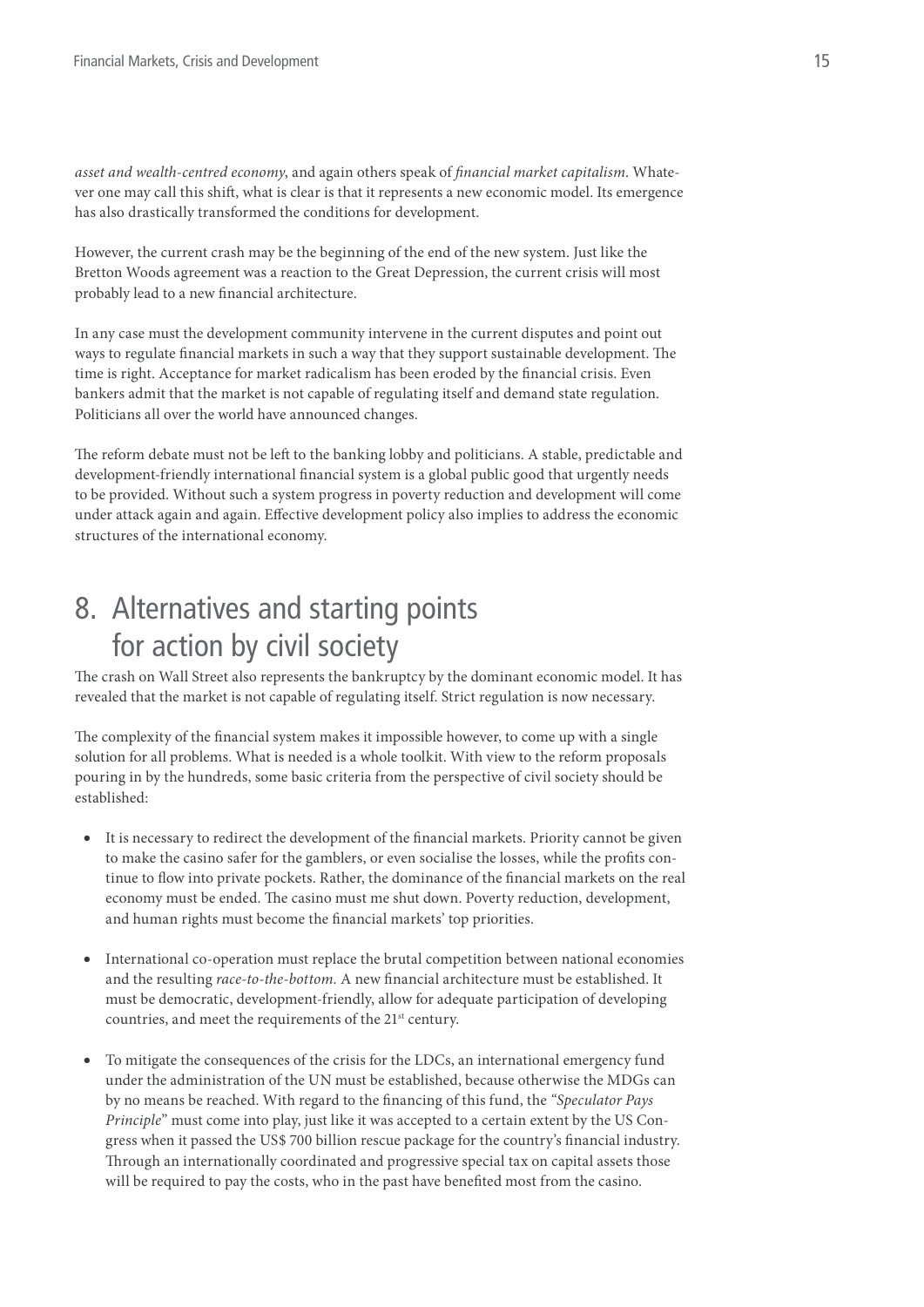<span id="page-13-0"></span>*asset and wealth-centred economy*, and again others speak of *financial market capitalism*. Whatever one may call this shift, what is clear is that it represents a new economic model. Its emergence has also drastically transformed the conditions for development.

However, the current crash may be the beginning of the end of the new system. Just like the Bretton Woods agreement was a reaction to the Great Depression, the current crisis will most probably lead to a new financial architecture.

In any case must the development community intervene in the current disputes and point out ways to regulate financial markets in such a way that they support sustainable development. The time is right. Acceptance for market radicalism has been eroded by the financial crisis. Even bankers admit that the market is not capable of regulating itself and demand state regulation. Politicians all over the world have announced changes.

The reform debate must not be left to the banking lobby and politicians. A stable, predictable and development-friendly international financial system is a global public good that urgently needs to be provided. Without such a system progress in poverty reduction and development will come under attack again and again. Effective development policy also implies to address the economic structures of the international economy.

# 8. Alternatives and starting points for action by civil society

The crash on Wall Street also represents the bankruptcy by the dominant economic model. It has revealed that the market is not capable of regulating itself. Strict regulation is now necessary.

The complexity of the financial system makes it impossible however, to come up with a single solution for all problems. What is needed is a whole toolkit. With view to the reform proposals pouring in by the hundreds, some basic criteria from the perspective of civil society should be established:

- It is necessary to redirect the development of the financial markets. Priority cannot be given to make the casino safer for the gamblers, or even socialise the losses, while the profits continue to flow into private pockets. Rather, the dominance of the financial markets on the real economy must be ended. The casino must me shut down. Poverty reduction, development, and human rights must become the financial markets' top priorities.
- International co-operation must replace the brutal competition between national economies and the resulting *race-to-the-bottom.* A new financial architecture must be established. It must be democratic, development-friendly, allow for adequate participation of developing countries, and meet the requirements of the 21<sup>st</sup> century.
- To mitigate the consequences of the crisis for the LDCs, an international emergency fund under the administration of the UN must be established, because otherwise the MDGs can by no means be reached. With regard to the financing of this fund, the *"Speculator Pays Principle*" must come into play, just like it was accepted to a certain extent by the US Congress when it passed the US\$ 700 billion rescue package for the country's financial industry. Through an internationally coordinated and progressive special tax on capital assets those will be required to pay the costs, who in the past have benefited most from the casino.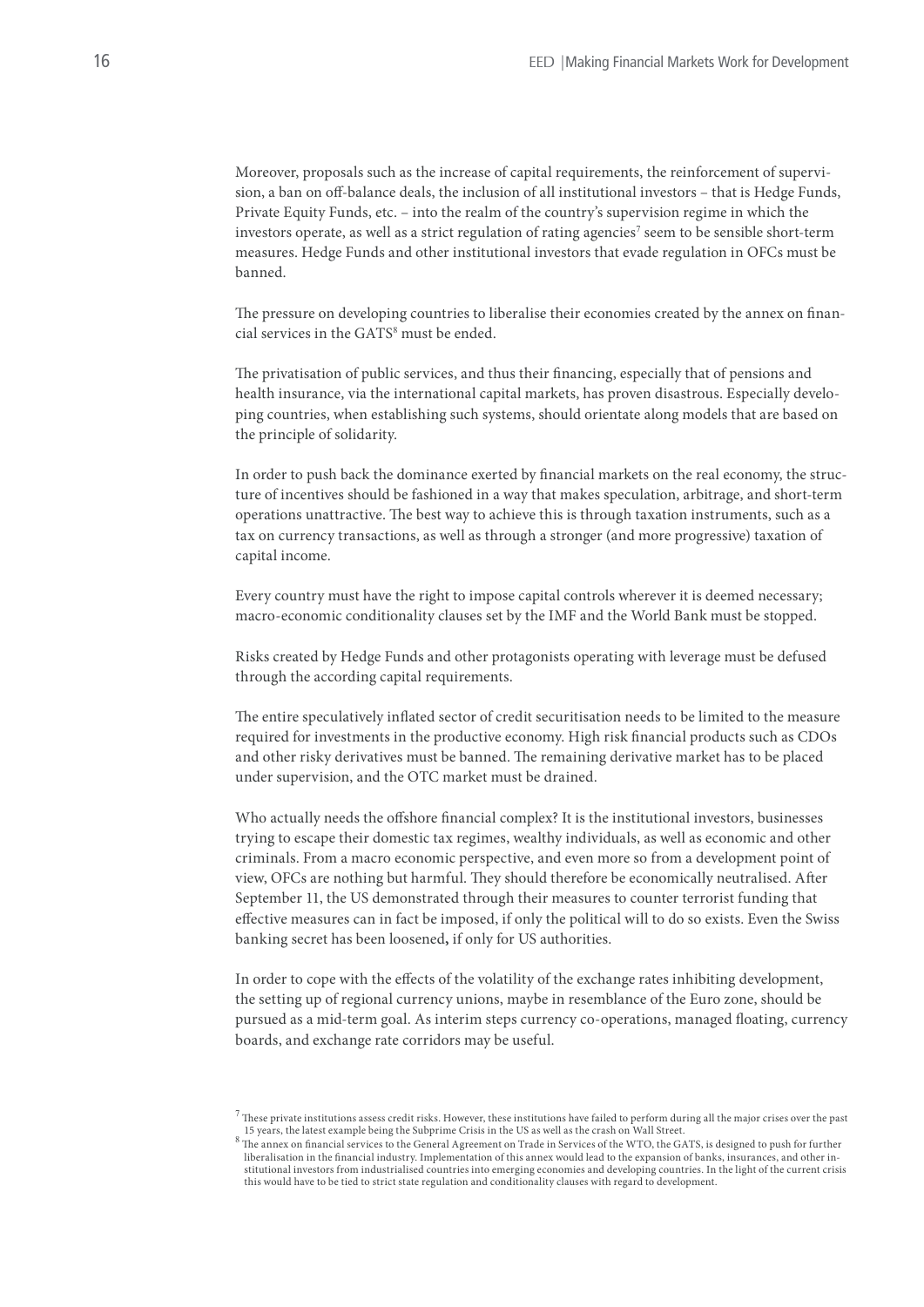Moreover, proposals such as the increase of capital requirements, the reinforcement of supervision, a ban on off-balance deals, the inclusion of all institutional investors – that is Hedge Funds, Private Equity Funds, etc. – into the realm of the country's supervision regime in which the investors operate, as well as a strict regulation of rating agencies<sup>7</sup> seem to be sensible short-term measures. Hedge Funds and other institutional investors that evade regulation in OFCs must be banned.

The pressure on developing countries to liberalise their economies created by the annex on financial services in the GATS<sup>8</sup> must be ended.

The privatisation of public services, and thus their financing, especially that of pensions and health insurance, via the international capital markets, has proven disastrous. Especially developing countries, when establishing such systems, should orientate along models that are based on the principle of solidarity.

In order to push back the dominance exerted by financial markets on the real economy, the structure of incentives should be fashioned in a way that makes speculation, arbitrage, and short-term operations unattractive. The best way to achieve this is through taxation instruments, such as a tax on currency transactions, as well as through a stronger (and more progressive) taxation of capital income.

Every country must have the right to impose capital controls wherever it is deemed necessary; macro-economic conditionality clauses set by the IMF and the World Bank must be stopped.

Risks created by Hedge Funds and other protagonists operating with leverage must be defused through the according capital requirements.

The entire speculatively inflated sector of credit securitisation needs to be limited to the measure required for investments in the productive economy. High risk financial products such as CDOs and other risky derivatives must be banned. The remaining derivative market has to be placed under supervision, and the OTC market must be drained.

Who actually needs the offshore financial complex? It is the institutional investors, businesses trying to escape their domestic tax regimes, wealthy individuals, as well as economic and other criminals. From a macro economic perspective, and even more so from a development point of view, OFCs are nothing but harmful. They should therefore be economically neutralised. After September 11, the US demonstrated through their measures to counter terrorist funding that effective measures can in fact be imposed, if only the political will to do so exists. Even the Swiss banking secret has been loosened**,** if only for US authorities.

In order to cope with the effects of the volatility of the exchange rates inhibiting development, the setting up of regional currency unions, maybe in resemblance of the Euro zone, should be pursued as a mid-term goal. As interim steps currency co-operations, managed floating, currency boards, and exchange rate corridors may be useful.

 $^7$  These private institutions assess credit risks. However, these institutions have failed to perform during all the major crises over the past 15 years, the latest example being the Subprime Crisis in the US as well as the crash on Wall Street.

<sup>8</sup> The annex on financial services to the General Agreement on Trade in Services of the WTO, the GATS, is designed to push for further liberalisation in the financial industry. Implementation of this annex would lead to the expansion of banks, insurances, and other institutional investors from industrialised countries into emerging economies and developing countries. In the light of the current crisis this would have to be tied to strict state regulation and conditionality clauses with regard to development.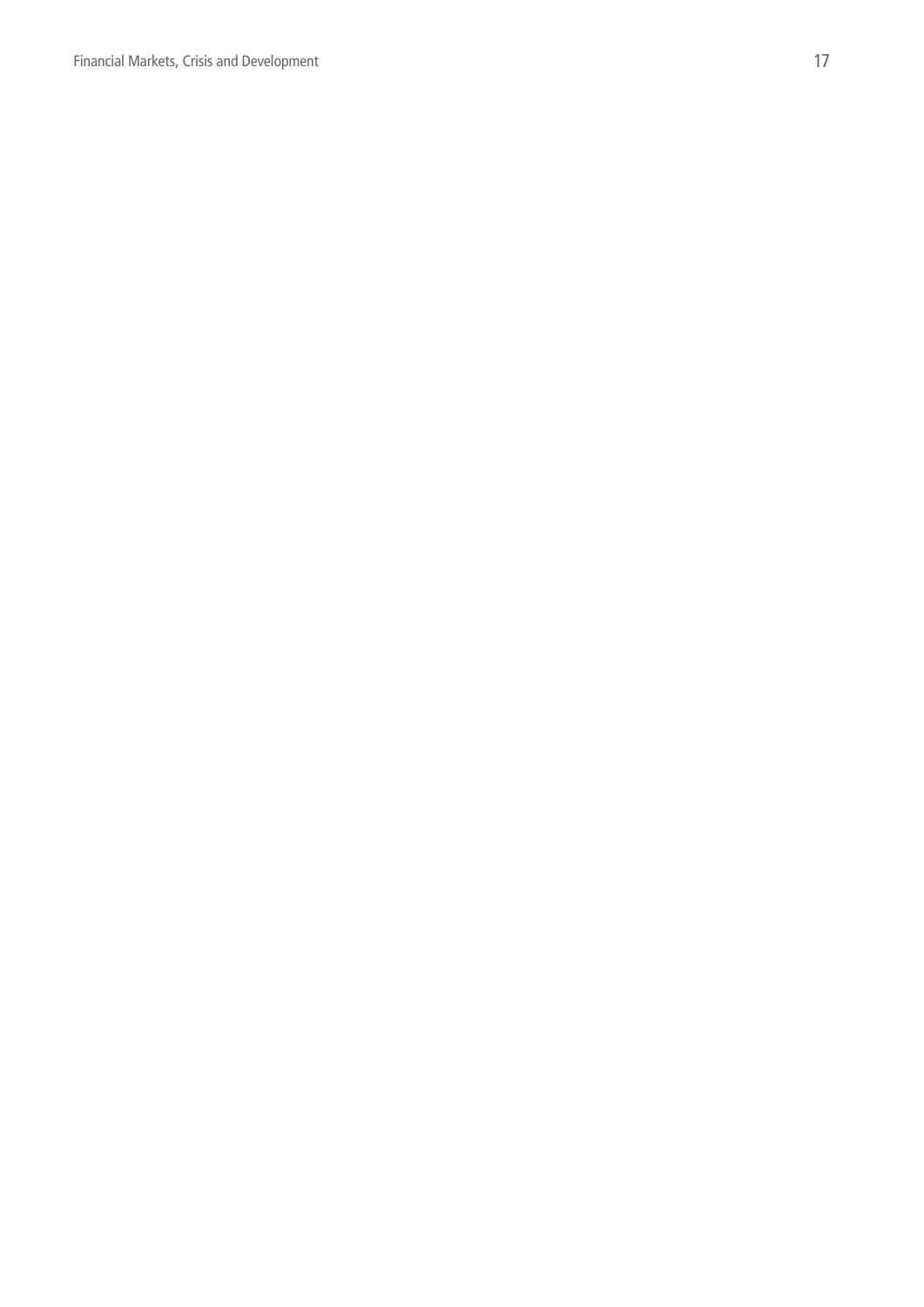Financial Markets, Crisis and Development 17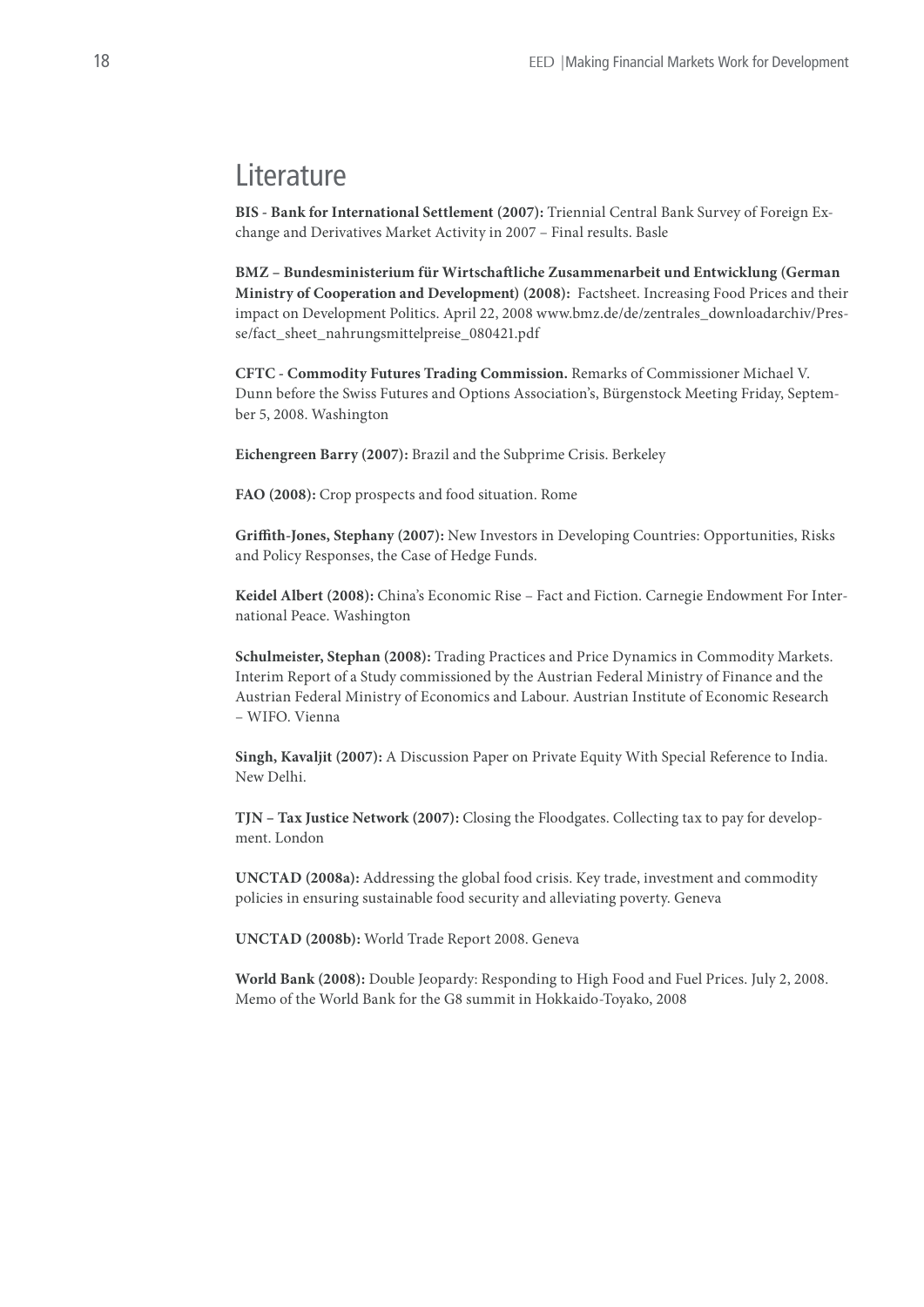### <span id="page-16-0"></span>Literature

**BIS - Bank for International Settlement (2007):** Triennial Central Bank Survey of Foreign Exchange and Derivatives Market Activity in 2007 – Final results. Basle

**BMZ – Bundesministerium für Wirtschaftliche Zusammenarbeit und Entwicklung (German Ministry of Cooperation and Development) (2008):** Factsheet. Increasing Food Prices and their impact on Development Politics. April 22, 2008 www.bmz.de/de/zentrales\_downloadarchiv/Presse/fact\_sheet\_nahrungsmittelpreise\_080421.pdf

**CFTC - Commodity Futures Trading Commission.** Remarks of Commissioner Michael V. Dunn before the Swiss Futures and Options Association's, Bürgenstock Meeting Friday, September 5, 2008. Washington

**Eichengreen Barry (2007):** Brazil and the Subprime Crisis. Berkeley

**FAO (2008):** Crop prospects and food situation. Rome

**Griffith-Jones, Stephany (2007):** New Investors in Developing Countries: Opportunities, Risks and Policy Responses, the Case of Hedge Funds.

**Keidel Albert (2008):** China's Economic Rise – Fact and Fiction. Carnegie Endowment For International Peace. Washington

**Schulmeister, Stephan (2008):** Trading Practices and Price Dynamics in Commodity Markets. Interim Report of a Study commissioned by the Austrian Federal Ministry of Finance and the Austrian Federal Ministry of Economics and Labour. Austrian Institute of Economic Research – WIFO. Vienna

**Singh, Kavaljit (2007):** A Discussion Paper on Private Equity With Special Reference to India. New Delhi.

**TJN – Tax Justice Network (2007):** Closing the Floodgates. Collecting tax to pay for development. London

**UNCTAD (2008a):** Addressing the global food crisis. Key trade, investment and commodity policies in ensuring sustainable food security and alleviating poverty. Geneva

**UNCTAD (2008b):** World Trade Report 2008. Geneva

**World Bank (2008):** Double Jeopardy: Responding to High Food and Fuel Prices. July 2, 2008. Memo of the World Bank for the G8 summit in Hokkaido-Toyako, 2008